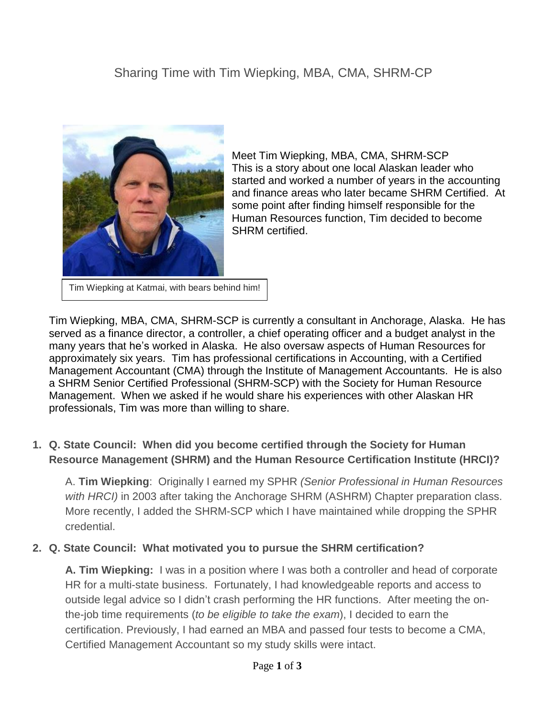# Sharing Time with Tim Wiepking, MBA, CMA, SHRM-CP



Meet Tim Wiepking, MBA, CMA, SHRM-SCP This is a story about one local Alaskan leader who started and worked a number of years in the accounting and finance areas who later became SHRM Certified. At some point after finding himself responsible for the Human Resources function, Tim decided to become SHRM certified.

Tim Wiepking at Katmai, with bears behind him!

Tim Wiepking, MBA, CMA, SHRM-SCP is currently a consultant in Anchorage, Alaska. He has served as a finance director, a controller, a chief operating officer and a budget analyst in the many years that he's worked in Alaska. He also oversaw aspects of Human Resources for approximately six years. Tim has professional certifications in Accounting, with a Certified Management Accountant (CMA) through the Institute of Management Accountants. He is also a SHRM Senior Certified Professional (SHRM-SCP) with the Society for Human Resource Management. When we asked if he would share his experiences with other Alaskan HR professionals, Tim was more than willing to share.

### **1. Q. State Council: When did you become certified through the Society for Human Resource Management (SHRM) and the Human Resource Certification Institute (HRCI)?**

A. **Tim Wiepking**: Originally I earned my SPHR *(Senior Professional in Human Resources with HRCI)* in 2003 after taking the Anchorage SHRM (ASHRM) Chapter preparation class. More recently, I added the SHRM-SCP which I have maintained while dropping the SPHR credential.

#### **2. Q. State Council: What motivated you to pursue the SHRM certification?**

**A. Tim Wiepking:** I was in a position where I was both a controller and head of corporate HR for a multi-state business. Fortunately, I had knowledgeable reports and access to outside legal advice so I didn't crash performing the HR functions. After meeting the onthe-job time requirements (*to be eligible to take the exam*), I decided to earn the certification. Previously, I had earned an MBA and passed four tests to become a CMA, Certified Management Accountant so my study skills were intact.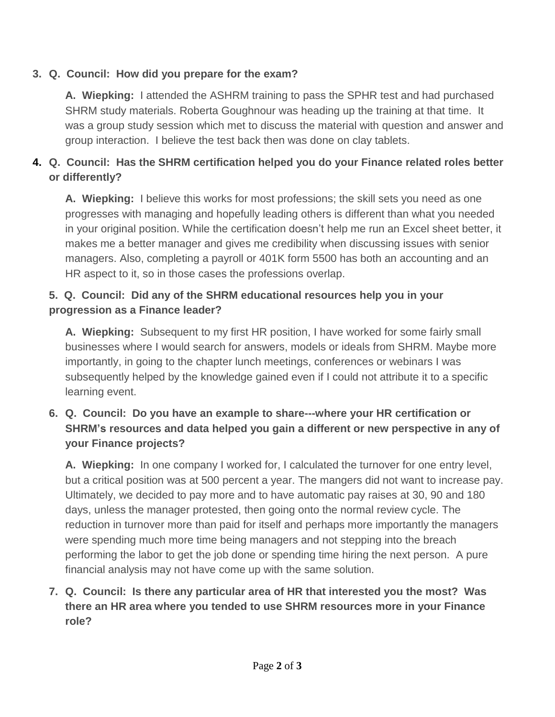# **3. Q. Council: How did you prepare for the exam?**

**A. Wiepking:** I attended the ASHRM training to pass the SPHR test and had purchased SHRM study materials. Roberta Goughnour was heading up the training at that time. It was a group study session which met to discuss the material with question and answer and group interaction. I believe the test back then was done on clay tablets.

# **4. Q. Council: Has the SHRM certification helped you do your Finance related roles better or differently?**

**A. Wiepking:** I believe this works for most professions; the skill sets you need as one progresses with managing and hopefully leading others is different than what you needed in your original position. While the certification doesn't help me run an Excel sheet better, it makes me a better manager and gives me credibility when discussing issues with senior managers. Also, completing a payroll or 401K form 5500 has both an accounting and an HR aspect to it, so in those cases the professions overlap.

#### **5. Q. Council: Did any of the SHRM educational resources help you in your progression as a Finance leader?**

**A. Wiepking:** Subsequent to my first HR position, I have worked for some fairly small businesses where I would search for answers, models or ideals from SHRM. Maybe more importantly, in going to the chapter lunch meetings, conferences or webinars I was subsequently helped by the knowledge gained even if I could not attribute it to a specific learning event.

## **6. Q. Council: Do you have an example to share---where your HR certification or SHRM's resources and data helped you gain a different or new perspective in any of your Finance projects?**

**A. Wiepking:** In one company I worked for, I calculated the turnover for one entry level, but a critical position was at 500 percent a year. The mangers did not want to increase pay. Ultimately, we decided to pay more and to have automatic pay raises at 30, 90 and 180 days, unless the manager protested, then going onto the normal review cycle. The reduction in turnover more than paid for itself and perhaps more importantly the managers were spending much more time being managers and not stepping into the breach performing the labor to get the job done or spending time hiring the next person. A pure financial analysis may not have come up with the same solution.

# **7. Q. Council: Is there any particular area of HR that interested you the most? Was there an HR area where you tended to use SHRM resources more in your Finance role?**